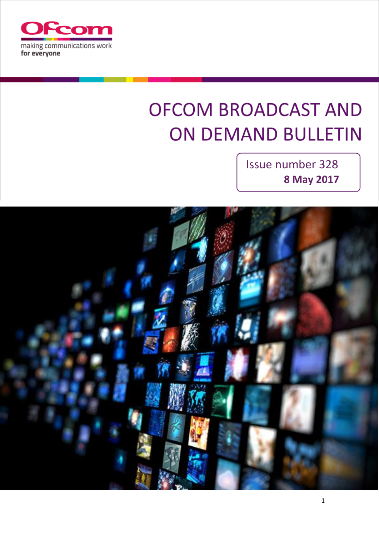

# **OFCOM BROADCAST AND ON DEMAND BULLETIN**

Issue number 328 **8 May 2017**

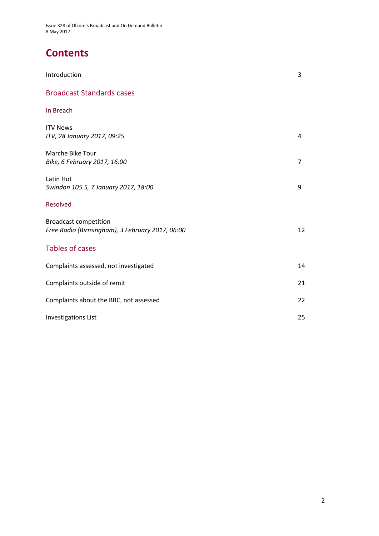# **Contents**

| Introduction                                                                    | 3  |
|---------------------------------------------------------------------------------|----|
| <b>Broadcast Standards cases</b>                                                |    |
| In Breach                                                                       |    |
| <b>ITV News</b><br>ITV, 28 January 2017, 09:25                                  | 4  |
| Marche Bike Tour<br>Bike, 6 February 2017, 16:00                                | 7  |
| Latin Hot<br>Swindon 105.5, 7 January 2017, 18:00                               | 9  |
| Resolved                                                                        |    |
| <b>Broadcast competition</b><br>Free Radio (Birmingham), 3 February 2017, 06:00 | 12 |
| <b>Tables of cases</b>                                                          |    |
| Complaints assessed, not investigated                                           | 14 |
| Complaints outside of remit                                                     | 21 |
| Complaints about the BBC, not assessed                                          | 22 |
| <b>Investigations List</b>                                                      | 25 |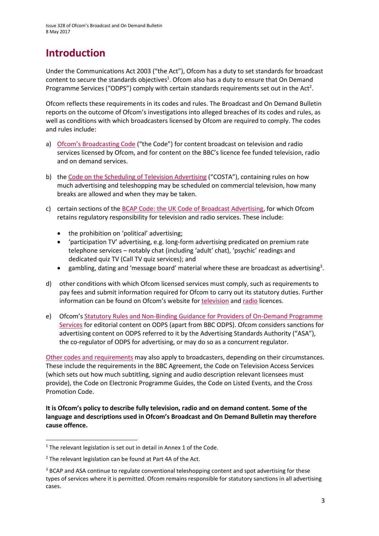# **Introduction**

Under the Communications Act 2003 ("the Act"), Ofcom has a duty to set standards for broadcast content to secure the standards objectives<sup>1</sup>. Ofcom also has a duty to ensure that On Demand Programme Services ("ODPS") comply with certain standards requirements set out in the Act<sup>2</sup>.

Ofcom reflects these requirements in its codes and rules. The Broadcast and On Demand Bulletin reports on the outcome of Ofcom's investigations into alleged breaches of its codes and rules, as well as conditions with which broadcasters licensed by Ofcom are required to comply. The codes and rules include:

- a) [Ofcom's Broadcasting Code](http://stakeholders.ofcom.org.uk/broadcasting/broadcast-codes/broadcast-code/) ("the Code") for content broadcast on television and radio services licensed by Ofcom, and for content on the BBC's licence fee funded television, radio and on demand services.
- b) the [Code on the Scheduling of Television Advertising](https://www.ofcom.org.uk/__data/assets/pdf_file/0014/32162/costa-april-2016.pdf) ("COSTA"), containing rules on how much advertising and teleshopping may be scheduled on commercial television, how many breaks are allowed and when they may be taken.
- c) certain sections of th[e BCAP Code: the UK Code of Broadcast Advertising,](https://www.cap.org.uk/Advertising-Codes/Broadcast.aspx) for which Ofcom retains regulatory responsibility for television and radio services. These include:
	- the prohibition on 'political' advertising;
	- 'participation TV' advertising, e.g. long-form advertising predicated on premium rate telephone services – notably chat (including 'adult' chat), 'psychic' readings and dedicated quiz TV (Call TV quiz services); and
	- $\bullet$  gambling, dating and 'message board' material where these are broadcast as advertising<sup>3</sup>.
- d) other conditions with which Ofcom licensed services must comply, such as requirements to pay fees and submit information required for Ofcom to carry out its statutory duties. Further information can be found on Ofcom's website for [television](http://licensing.ofcom.org.uk/tv-broadcast-licences/) an[d radio](http://licensing.ofcom.org.uk/radio-broadcast-licensing/) licences.
- e) Ofcom's [Statutory Rules and Non-Binding Guidance for Providers of On-Demand Programme](http://stakeholders.ofcom.org.uk/binaries/broadcast/on-demand/rules-guidance/rules_and_guidance.pdf)  [Services](http://stakeholders.ofcom.org.uk/binaries/broadcast/on-demand/rules-guidance/rules_and_guidance.pdf) for editorial content on ODPS (apart from BBC ODPS). Ofcom considers sanctions for advertising content on ODPS referred to it by the Advertising Standards Authority ("ASA"), the co-regulator of ODPS for advertising, or may do so as a concurrent regulator.

[Other codes and requirements](http://stakeholders.ofcom.org.uk/broadcasting/broadcast-codes/) may also apply to broadcasters, depending on their circumstances. These include the requirements in the BBC Agreement, the Code on Television Access Services (which sets out how much subtitling, signing and audio description relevant licensees must provide), the Code on Electronic Programme Guides, the Code on Listed Events, and the Cross Promotion Code.

**It is Ofcom's policy to describe fully television, radio and on demand content. Some of the language and descriptions used in Ofcom's Broadcast and On Demand Bulletin may therefore cause offence.**

<sup>&</sup>lt;sup>1</sup> The relevant legislation is set out in detail in Annex 1 of the Code.

 $2$  The relevant legislation can be found at Part 4A of the Act.

<sup>&</sup>lt;sup>3</sup> BCAP and ASA continue to regulate conventional teleshopping content and spot advertising for these types of services where it is permitted. Ofcom remains responsible for statutory sanctions in all advertising cases.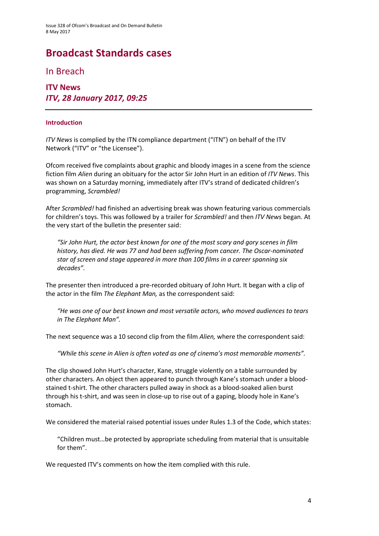# **Broadcast Standards cases**

In Breach

**ITV News** *ITV, 28 January 2017, 09:25*

#### **Introduction**

*ITV News* is complied by the ITN compliance department ("ITN") on behalf of the ITV Network ("ITV" or "the Licensee").

Ofcom received five complaints about graphic and bloody images in a scene from the science fiction film *Alien* during an obituary for the actor Sir John Hurt in an edition of *ITV News*. This was shown on a Saturday morning, immediately after ITV's strand of dedicated children's programming, *Scrambled!*

After *Scrambled!* had finished an advertising break was shown featuring various commercials for children's toys. This was followed by a trailer for *Scrambled!* and then *ITV News* began. At the very start of the bulletin the presenter said:

*"Sir John Hurt, the actor best known for one of the most scary and gory scenes in film history, has died. He was 77 and had been suffering from cancer. The Oscar-nominated star of screen and stage appeared in more than 100 films in a career spanning six decades".*

The presenter then introduced a pre-recorded obituary of John Hurt. It began with a clip of the actor in the film *The Elephant Man,* as the correspondent said:

*"He was one of our best known and most versatile actors, who moved audiences to tears in The Elephant Man".*

The next sequence was a 10 second clip from the film *Alien,* where the correspondent said:

*"While this scene in Alien is often voted as one of cinema's most memorable moments".*

The clip showed John Hurt's character, Kane, struggle violently on a table surrounded by other characters. An object then appeared to punch through Kane's stomach under a bloodstained t-shirt. The other characters pulled away in shock as a blood-soaked alien burst through his t-shirt, and was seen in close-up to rise out of a gaping, bloody hole in Kane's stomach.

We considered the material raised potential issues under Rules 1.3 of the Code, which states:

"Children must…be protected by appropriate scheduling from material that is unsuitable for them".

We requested ITV's comments on how the item complied with this rule.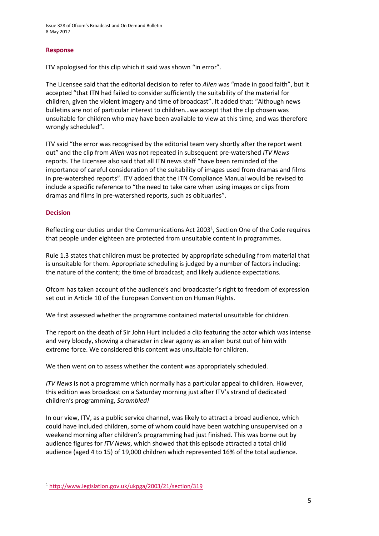### **Response**

ITV apologised for this clip which it said was shown "in error".

The Licensee said that the editorial decision to refer to *Alien* was "made in good faith", but it accepted "that ITN had failed to consider sufficiently the suitability of the material for children, given the violent imagery and time of broadcast". It added that: "Although news bulletins are not of particular interest to children…we accept that the clip chosen was unsuitable for children who may have been available to view at this time, and was therefore wrongly scheduled".

ITV said "the error was recognised by the editorial team very shortly after the report went out" and the clip from *Alien* was not repeated in subsequent pre-watershed *ITV News*  reports. The Licensee also said that all ITN news staff "have been reminded of the importance of careful consideration of the suitability of images used from dramas and films in pre-watershed reports". ITV added that the ITN Compliance Manual would be revised to include a specific reference to "the need to take care when using images or clips from dramas and films in pre-watershed reports, such as obituaries".

### **Decision**

**.** 

Reflecting our duties under the Communications Act 2003<sup>1</sup>, Section One of the Code requires that people under eighteen are protected from unsuitable content in programmes.

Rule 1.3 states that children must be protected by appropriate scheduling from material that is unsuitable for them. Appropriate scheduling is judged by a number of factors including: the nature of the content; the time of broadcast; and likely audience expectations.

Ofcom has taken account of the audience's and broadcaster's right to freedom of expression set out in Article 10 of the European Convention on Human Rights.

We first assessed whether the programme contained material unsuitable for children.

The report on the death of Sir John Hurt included a clip featuring the actor which was intense and very bloody, showing a character in clear agony as an alien burst out of him with extreme force. We considered this content was unsuitable for children.

We then went on to assess whether the content was appropriately scheduled.

*ITV News* is not a programme which normally has a particular appeal to children. However, this edition was broadcast on a Saturday morning just after ITV's strand of dedicated children's programming, *Scrambled!*

In our view, ITV, as a public service channel, was likely to attract a broad audience, which could have included children, some of whom could have been watching unsupervised on a weekend morning after children's programming had just finished. This was borne out by audience figures for *ITV News*, which showed that this episode attracted a total child audience (aged 4 to 15) of 19,000 children which represented 16% of the total audience.

<sup>1</sup> <http://www.legislation.gov.uk/ukpga/2003/21/section/319>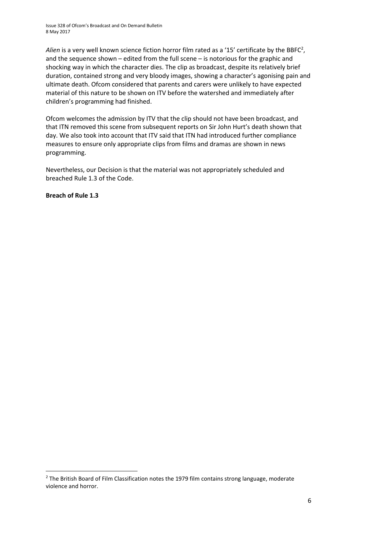Alien is a very well known science fiction horror film rated as a '15' certificate by the BBFC<sup>2</sup>, and the sequence shown – edited from the full scene – is notorious for the graphic and shocking way in which the character dies. The clip as broadcast, despite its relatively brief duration, contained strong and very bloody images, showing a character's agonising pain and ultimate death. Ofcom considered that parents and carers were unlikely to have expected material of this nature to be shown on ITV before the watershed and immediately after children's programming had finished.

Ofcom welcomes the admission by ITV that the clip should not have been broadcast, and that ITN removed this scene from subsequent reports on Sir John Hurt's death shown that day. We also took into account that ITV said that ITN had introduced further compliance measures to ensure only appropriate clips from films and dramas are shown in news programming.

Nevertheless, our Decision is that the material was not appropriately scheduled and breached Rule 1.3 of the Code.

**Breach of Rule 1.3** 

<sup>&</sup>lt;sup>2</sup> The British Board of Film Classification notes the 1979 film contains strong language, moderate violence and horror.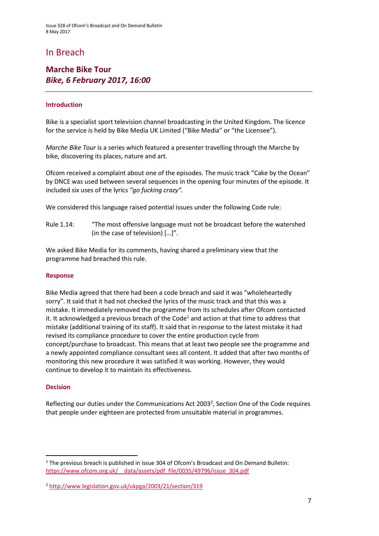### In Breach

### **Marche Bike Tour** *Bike, 6 February 2017, 16:00*

### **Introduction**

Bike is a specialist sport television channel broadcasting in the United Kingdom. The licence for the service is held by Bike Media UK Limited ("Bike Media" or "the Licensee").

*Marche Bike Tour* is a series which featured a presenter travelling through the Marche by bike, discovering its places, nature and art.

Ofcom received a complaint about one of the episodes. The music track "Cake by the Ocean" by DNCE was used between several sequences in the opening four minutes of the episode. It included six uses of the lyrics *"go fucking crazy".* 

We considered this language raised potential issues under the following Code rule:

Rule 1.14: "The most offensive language must not be broadcast before the watershed (in the case of television) […]".

We asked Bike Media for its comments, having shared a preliminary view that the programme had breached this rule.

#### **Response**

Bike Media agreed that there had been a code breach and said it was "wholeheartedly sorry". It said that it had not checked the lyrics of the music track and that this was a mistake. It immediately removed the programme from its schedules after Ofcom contacted it. It acknowledged a previous breach of the Code<sup>1</sup> and action at that time to address that mistake (additional training of its staff). It said that in response to the latest mistake it had revised its compliance procedure to cover the entire production cycle from concept/purchase to broadcast. This means that at least two people see the programme and a newly appointed compliance consultant sees all content. It added that after two months of monitoring this new procedure it was satisfied it was working. However, they would continue to develop it to maintain its effectiveness.

#### **Decision**

**.** 

Reflecting our duties under the Communications Act 2003<sup>2</sup>, Section One of the Code requires that people under eighteen are protected from unsuitable material in programmes.

 $1$  The previous breach is published in issue 304 of Ofcom's Broadcast and On Demand Bulletin: [https://www.ofcom.org.uk/\\_\\_data/assets/pdf\\_file/0035/49796/issue\\_304.pdf](https://www.ofcom.org.uk/__data/assets/pdf_file/0035/49796/issue_304.pdf)

<sup>2</sup> <http://www.legislation.gov.uk/ukpga/2003/21/section/319>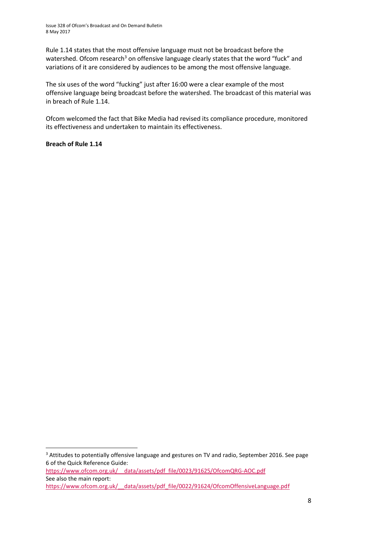Rule 1.14 states that the most offensive language must not be broadcast before the watershed. Ofcom research<sup>3</sup> on offensive language clearly states that the word "fuck" and variations of it are considered by audiences to be among the most offensive language.

The six uses of the word "fucking" just after 16:00 were a clear example of the most offensive language being broadcast before the watershed. The broadcast of this material was in breach of Rule 1.14.

Ofcom welcomed the fact that Bike Media had revised its compliance procedure, monitored its effectiveness and undertaken to maintain its effectiveness.

**Breach of Rule 1.14**

 $\overline{\phantom{a}}$ 

See also the main report: https://www.ofcom.org.uk/ data/assets/pdf\_file/0022/91624/OfcomOffensiveLanguage.pdf

<sup>&</sup>lt;sup>3</sup> Attitudes to potentially offensive language and gestures on TV and radio, September 2016. See page 6 of the Quick Reference Guide: [https://www.ofcom.org.uk/\\_\\_data/assets/pdf\\_file/0023/91625/OfcomQRG-AOC.pdf](https://www.ofcom.org.uk/__data/assets/pdf_file/0023/91625/OfcomQRG-AOC.pdf)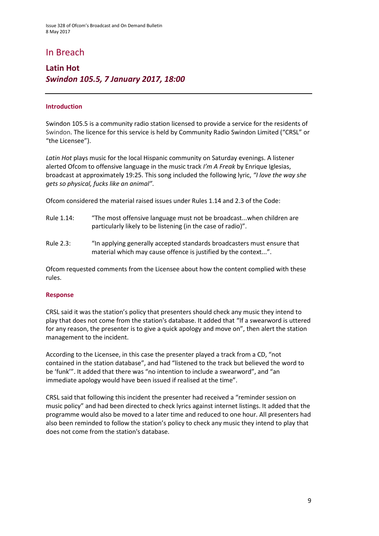### In Breach

### **Latin Hot** *Swindon 105.5, 7 January 2017, 18:00*

### **Introduction**

Swindon 105.5 is a community radio station licensed to provide a service for the residents of Swindon. The licence for this service is held by Community Radio Swindon Limited ("CRSL" or "the Licensee").

*Latin Hot* plays music for the local Hispanic community on Saturday evenings. A listener alerted Ofcom to offensive language in the music track *I'm A Freak* by Enrique Iglesias, broadcast at approximately 19:25. This song included the following lyric, *"I love the way she gets so physical, fucks like an animal"*.

Ofcom considered the material raised issues under Rules 1.14 and 2.3 of the Code:

- Rule 1.14: "The most offensive language must not be broadcast...when children are particularly likely to be listening (in the case of radio)".
- Rule 2.3: "In applying generally accepted standards broadcasters must ensure that material which may cause offence is justified by the context...".

Ofcom requested comments from the Licensee about how the content complied with these rules.

#### **Response**

CRSL said it was the station's policy that presenters should check any music they intend to play that does not come from the station's database. It added that "If a swearword is uttered for any reason, the presenter is to give a quick apology and move on", then alert the station management to the incident.

According to the Licensee, in this case the presenter played a track from a CD, "not contained in the station database", and had "listened to the track but believed the word to be 'funk'". It added that there was "no intention to include a swearword", and "an immediate apology would have been issued if realised at the time".

CRSL said that following this incident the presenter had received a "reminder session on music policy" and had been directed to check lyrics against internet listings. It added that the programme would also be moved to a later time and reduced to one hour. All presenters had also been reminded to follow the station's policy to check any music they intend to play that does not come from the station's database.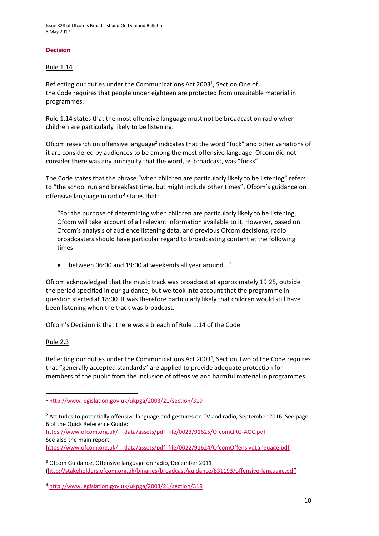### **Decision**

### Rule 1.14

Reflecting our duties under the Communications Act 2003<sup>1</sup>, Section One of the Code requires that people under eighteen are protected from unsuitable material in programmes.

Rule 1.14 states that the most offensive language must not be broadcast on radio when children are particularly likely to be listening.

Ofcom research on offensive language<sup>2</sup> indicates that the word "fuck" and other variations of it are considered by audiences to be among the most offensive language. Ofcom did not consider there was any ambiguity that the word, as broadcast, was "fucks".

The Code states that the phrase "when children are particularly likely to be listening" refers to "the school run and breakfast time, but might include other times". Ofcom's guidance on offensive language in radio<sup>3</sup> states that:

"For the purpose of determining when children are particularly likely to be listening, Ofcom will take account of all relevant information available to it. However, based on Ofcom's analysis of audience listening data, and previous Ofcom decisions, radio broadcasters should have particular regard to broadcasting content at the following times:

between 06:00 and 19:00 at weekends all year around…".

Ofcom acknowledged that the music track was broadcast at approximately 19:25, outside the period specified in our guidance, but we took into account that the programme in question started at 18:00. It was therefore particularly likely that children would still have been listening when the track was broadcast.

Ofcom's Decision is that there was a breach of Rule 1.14 of the Code.

### Rule 2.3

 $\overline{\phantom{a}}$ 

Reflecting our duties under the Communications Act 2003<sup>4</sup>, Section Two of the Code requires that "generally accepted standards" are applied to provide adequate protection for members of the public from the inclusion of offensive and harmful material in programmes.

<sup>2</sup> Attitudes to potentially offensive language and gestures on TV and radio, September 2016. See page 6 of the Quick Reference Guide:

[https://www.ofcom.org.uk/\\_\\_data/assets/pdf\\_file/0023/91625/OfcomQRG-AOC.pdf](https://www.ofcom.org.uk/__data/assets/pdf_file/0023/91625/OfcomQRG-AOC.pdf) See also the main report:

[https://www.ofcom.org.uk/\\_\\_data/assets/pdf\\_file/0022/91624/OfcomOffensiveLanguage.pdf](https://www.ofcom.org.uk/__data/assets/pdf_file/0022/91624/OfcomOffensiveLanguage.pdf)

<sup>3</sup> Ofcom Guidance, Offensive language on radio, December 2011 [\(http://stakeholders.ofcom.org.uk/binaries/broadcast/guidance/831193/offensive-language.pdf\)](http://stakeholders.ofcom.org.uk/binaries/broadcast/guidance/831193/offensive-language.pdf)

<sup>4</sup> <http://www.legislation.gov.uk/ukpga/2003/21/section/319>

<sup>1</sup> <http://www.legislation.gov.uk/ukpga/2003/21/section/319>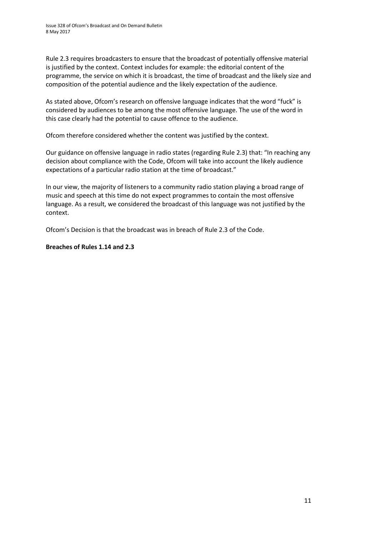Rule 2.3 requires broadcasters to ensure that the broadcast of potentially offensive material is justified by the context. Context includes for example: the editorial content of the programme, the service on which it is broadcast, the time of broadcast and the likely size and composition of the potential audience and the likely expectation of the audience.

As stated above, Ofcom's research on offensive language indicates that the word "fuck" is considered by audiences to be among the most offensive language. The use of the word in this case clearly had the potential to cause offence to the audience.

Ofcom therefore considered whether the content was justified by the context.

Our guidance on offensive language in radio states (regarding Rule 2.3) that: "In reaching any decision about compliance with the Code, Ofcom will take into account the likely audience expectations of a particular radio station at the time of broadcast."

In our view, the majority of listeners to a community radio station playing a broad range of music and speech at this time do not expect programmes to contain the most offensive language. As a result, we considered the broadcast of this language was not justified by the context.

Ofcom's Decision is that the broadcast was in breach of Rule 2.3 of the Code.

### **Breaches of Rules 1.14 and 2.3**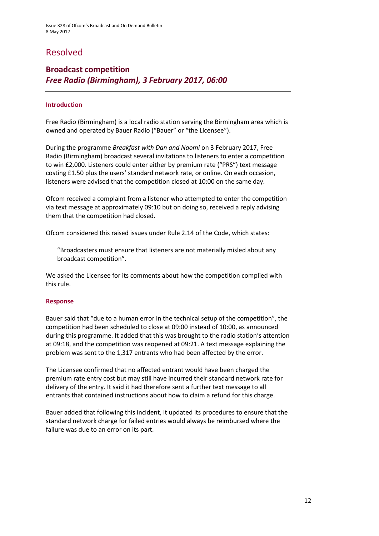### Resolved

### **Broadcast competition** *Free Radio (Birmingham), 3 February 2017, 06:00*

### **Introduction**

Free Radio (Birmingham) is a local radio station serving the Birmingham area which is owned and operated by Bauer Radio ("Bauer" or "the Licensee").

During the programme *Breakfast with Dan and Naomi* on 3 February 2017, Free Radio (Birmingham) broadcast several invitations to listeners to enter a competition to win £2,000. Listeners could enter either by premium rate ("PRS") text message costing £1.50 plus the users' standard network rate, or online. On each occasion, listeners were advised that the competition closed at 10:00 on the same day.

Ofcom received a complaint from a listener who attempted to enter the competition via text message at approximately 09:10 but on doing so, received a reply advising them that the competition had closed.

Ofcom considered this raised issues under Rule 2.14 of the Code, which states:

"Broadcasters must ensure that listeners are not materially misled about any broadcast competition".

We asked the Licensee for its comments about how the competition complied with this rule.

#### **Response**

Bauer said that "due to a human error in the technical setup of the competition", the competition had been scheduled to close at 09:00 instead of 10:00, as announced during this programme. It added that this was brought to the radio station's attention at 09:18, and the competition was reopened at 09:21. A text message explaining the problem was sent to the 1,317 entrants who had been affected by the error.

The Licensee confirmed that no affected entrant would have been charged the premium rate entry cost but may still have incurred their standard network rate for delivery of the entry. It said it had therefore sent a further text message to all entrants that contained instructions about how to claim a refund for this charge.

Bauer added that following this incident, it updated its procedures to ensure that the standard network charge for failed entries would always be reimbursed where the failure was due to an error on its part.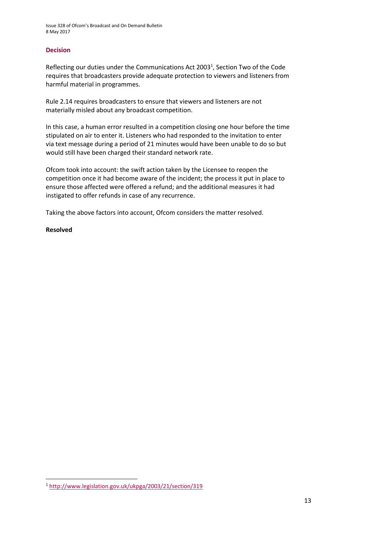### **Decision**

Reflecting our duties under the Communications Act 2003<sup>1</sup>, Section Two of the Code requires that broadcasters provide adequate protection to viewers and listeners from harmful material in programmes.

Rule 2.14 requires broadcasters to ensure that viewers and listeners are not materially misled about any broadcast competition.

In this case, a human error resulted in a competition closing one hour before the time stipulated on air to enter it. Listeners who had responded to the invitation to enter via text message during a period of 21 minutes would have been unable to do so but would still have been charged their standard network rate.

Ofcom took into account: the swift action taken by the Licensee to reopen the competition once it had become aware of the incident; the process it put in place to ensure those affected were offered a refund; and the additional measures it had instigated to offer refunds in case of any recurrence.

Taking the above factors into account, Ofcom considers the matter resolved.

#### **Resolved**

**<sup>.</sup>** <sup>1</sup> <http://www.legislation.gov.uk/ukpga/2003/21/section/319>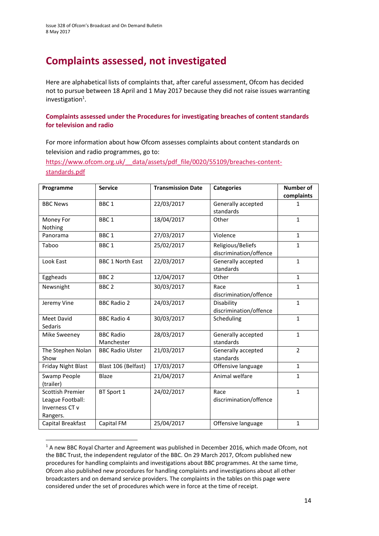# **Complaints assessed, not investigated**

Here are alphabetical lists of complaints that, after careful assessment, Ofcom has decided not to pursue between 18 April and 1 May 2017 because they did not raise issues warranting investigation<sup>1</sup>.

### **Complaints assessed under the Procedures for investigating breaches of content standards for television and radio**

For more information about how Ofcom assesses complaints about content standards on television and radio programmes, go to:

https://www.ofcom.org.uk/ data/assets/pdf file/0020/55109/breaches-content[standards.pdf](https://www.ofcom.org.uk/__data/assets/pdf_file/0020/55109/breaches-content-standards.pdf)

| Programme                                                                 | <b>Service</b>                 | <b>Transmission Date</b> | <b>Categories</b>                           | <b>Number of</b><br>complaints |
|---------------------------------------------------------------------------|--------------------------------|--------------------------|---------------------------------------------|--------------------------------|
| <b>BBC News</b>                                                           | BBC <sub>1</sub>               | 22/03/2017               | Generally accepted<br>standards             | $\mathbf{1}$                   |
| Money For<br>Nothing                                                      | BBC <sub>1</sub>               | 18/04/2017               | Other                                       | $\mathbf{1}$                   |
| Panorama                                                                  | BBC <sub>1</sub>               | 27/03/2017               | Violence                                    | $\mathbf{1}$                   |
| Taboo                                                                     | BBC <sub>1</sub>               | 25/02/2017               | Religious/Beliefs<br>discrimination/offence | $\mathbf{1}$                   |
| Look East                                                                 | <b>BBC 1 North East</b>        | 22/03/2017               | Generally accepted<br>standards             | $\mathbf{1}$                   |
| Eggheads                                                                  | BBC <sub>2</sub>               | 12/04/2017               | Other                                       | $\mathbf{1}$                   |
| Newsnight                                                                 | BBC <sub>2</sub>               | 30/03/2017               | Race<br>discrimination/offence              | $\mathbf{1}$                   |
| Jeremy Vine                                                               | <b>BBC Radio 2</b>             | 24/03/2017               | Disability<br>discrimination/offence        | $\mathbf{1}$                   |
| Meet David<br>Sedaris                                                     | <b>BBC Radio 4</b>             | 30/03/2017               | Scheduling                                  | $\mathbf{1}$                   |
| Mike Sweeney                                                              | <b>BBC Radio</b><br>Manchester | 28/03/2017               | Generally accepted<br>standards             | $\mathbf{1}$                   |
| The Stephen Nolan<br>Show                                                 | <b>BBC Radio Ulster</b>        | 21/03/2017               | Generally accepted<br>standards             | $\overline{2}$                 |
| <b>Friday Night Blast</b>                                                 | Blast 106 (Belfast)            | 17/03/2017               | Offensive language                          | $\mathbf{1}$                   |
| Swamp People<br>(trailer)                                                 | Blaze                          | 21/04/2017               | Animal welfare                              | $\mathbf{1}$                   |
| <b>Scottish Premier</b><br>League Football:<br>Inverness CT v<br>Rangers. | BT Sport 1                     | 24/02/2017               | Race<br>discrimination/offence              | $\mathbf{1}$                   |
| Capital Breakfast                                                         | Capital FM                     | 25/04/2017               | Offensive language                          | $\mathbf{1}$                   |

<sup>&</sup>lt;sup>1</sup> A new BBC Royal Charter and Agreement was published in December 2016, which made Ofcom, not the BBC Trust, the independent regulator of the BBC. On 29 March 2017, Ofcom published new procedures for handling complaints and investigations about BBC programmes. At the same time, Ofcom also published new procedures for handling complaints and investigations about all other broadcasters and on demand service providers. The complaints in the tables on this page were considered under the set of procedures which were in force at the time of receipt.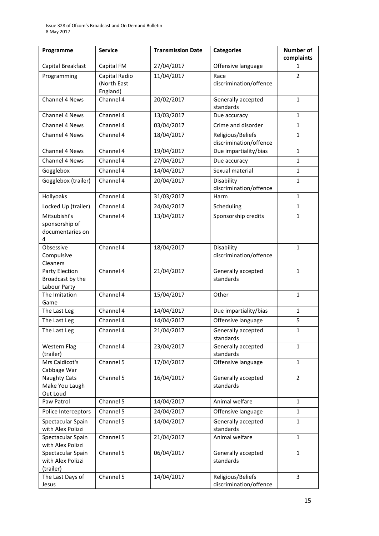| Programme                                               | <b>Service</b>                           | <b>Transmission Date</b> | <b>Categories</b>                           | Number of<br>complaints |
|---------------------------------------------------------|------------------------------------------|--------------------------|---------------------------------------------|-------------------------|
| Capital Breakfast                                       | Capital FM                               | 27/04/2017               | Offensive language                          | $\mathbf{1}$            |
| Programming                                             | Capital Radio<br>(North East<br>England) | 11/04/2017               | Race<br>discrimination/offence              | 2                       |
| Channel 4 News                                          | Channel 4                                | 20/02/2017               | Generally accepted<br>standards             | $\mathbf{1}$            |
| Channel 4 News                                          | Channel 4                                | 13/03/2017               | Due accuracy                                | $\mathbf{1}$            |
| Channel 4 News                                          | Channel 4                                | 03/04/2017               | Crime and disorder                          | $\mathbf{1}$            |
| Channel 4 News                                          | Channel 4                                | 18/04/2017               | Religious/Beliefs<br>discrimination/offence | $\mathbf{1}$            |
| Channel 4 News                                          | Channel 4                                | 19/04/2017               | Due impartiality/bias                       | $\mathbf{1}$            |
| <b>Channel 4 News</b>                                   | Channel 4                                | 27/04/2017               | Due accuracy                                | 1                       |
| Gogglebox                                               | Channel 4                                | 14/04/2017               | Sexual material                             | $\mathbf{1}$            |
| Gogglebox (trailer)                                     | Channel 4                                | 20/04/2017               | Disability<br>discrimination/offence        | $\mathbf{1}$            |
| Hollyoaks                                               | Channel 4                                | 31/03/2017               | Harm                                        | $\mathbf{1}$            |
| Locked Up (trailer)                                     | Channel 4                                | 24/04/2017               | Scheduling                                  | 1                       |
| Mitsubishi's<br>sponsorship of<br>documentaries on<br>4 | Channel 4                                | 13/04/2017               | Sponsorship credits                         | $\mathbf{1}$            |
| Obsessive<br>Compulsive<br>Cleaners                     | Channel 4                                | 18/04/2017               | Disability<br>discrimination/offence        | $\mathbf{1}$            |
| Party Election<br>Broadcast by the<br>Labour Party      | Channel 4                                | 21/04/2017               | Generally accepted<br>standards             | $\mathbf{1}$            |
| The Imitation<br>Game                                   | Channel 4                                | 15/04/2017               | Other                                       | $\mathbf{1}$            |
| The Last Leg                                            | Channel 4                                | 14/04/2017               | Due impartiality/bias                       | $\mathbf{1}$            |
| The Last Leg                                            | Channel 4                                | 14/04/2017               | Offensive language                          | 5                       |
| The Last Leg                                            | Channel 4                                | 21/04/2017               | Generally accepted<br>standards             | 1                       |
| <b>Western Flag</b><br>(trailer)                        | Channel 4                                | 23/04/2017               | Generally accepted<br>standards             | $\mathbf{1}$            |
| Mrs Caldicot's<br>Cabbage War                           | Channel 5                                | 17/04/2017               | Offensive language                          | $\mathbf{1}$            |
| <b>Naughty Cats</b><br>Make You Laugh<br>Out Loud       | Channel 5                                | 16/04/2017               | Generally accepted<br>standards             | $\overline{2}$          |
| Paw Patrol                                              | Channel 5                                | 14/04/2017               | Animal welfare                              | $\mathbf{1}$            |
| Police Interceptors                                     | Channel 5                                | 24/04/2017               | Offensive language                          | $\mathbf{1}$            |
| Spectacular Spain<br>with Alex Polizzi                  | Channel 5                                | 14/04/2017               | Generally accepted<br>standards             | $\mathbf{1}$            |
| Spectacular Spain<br>with Alex Polizzi                  | Channel 5                                | 21/04/2017               | Animal welfare                              | $\mathbf{1}$            |
| Spectacular Spain<br>with Alex Polizzi<br>(trailer)     | Channel 5                                | 06/04/2017               | Generally accepted<br>standards             | $\mathbf{1}$            |
| The Last Days of<br>Jesus                               | Channel 5                                | 14/04/2017               | Religious/Beliefs<br>discrimination/offence | 3                       |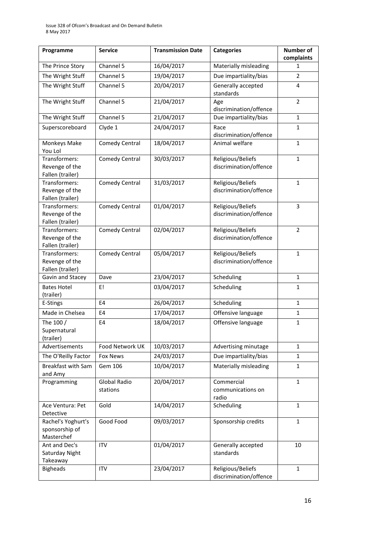| Programme                                           | <b>Service</b>           | <b>Transmission Date</b> | <b>Categories</b>                           | Number of<br>complaints |
|-----------------------------------------------------|--------------------------|--------------------------|---------------------------------------------|-------------------------|
| The Prince Story                                    | Channel 5                | 16/04/2017               | Materially misleading                       | 1                       |
| The Wright Stuff                                    | Channel 5                | 19/04/2017               | Due impartiality/bias                       | 2                       |
| The Wright Stuff                                    | Channel 5                | 20/04/2017               | Generally accepted<br>standards             | 4                       |
| The Wright Stuff                                    | Channel 5                | 21/04/2017               | Age<br>discrimination/offence               | 2                       |
| The Wright Stuff                                    | Channel 5                | 21/04/2017               | Due impartiality/bias                       | $\mathbf{1}$            |
| Superscoreboard                                     | Clyde 1                  | 24/04/2017               | Race<br>discrimination/offence              | $\mathbf{1}$            |
| Monkeys Make<br>You Lol                             | <b>Comedy Central</b>    | 18/04/2017               | Animal welfare                              | $\mathbf{1}$            |
| Transformers:<br>Revenge of the<br>Fallen (trailer) | <b>Comedy Central</b>    | 30/03/2017               | Religious/Beliefs<br>discrimination/offence | $\mathbf{1}$            |
| Transformers:<br>Revenge of the<br>Fallen (trailer) | <b>Comedy Central</b>    | 31/03/2017               | Religious/Beliefs<br>discrimination/offence | $\mathbf{1}$            |
| Transformers:<br>Revenge of the<br>Fallen (trailer) | <b>Comedy Central</b>    | 01/04/2017               | Religious/Beliefs<br>discrimination/offence | 3                       |
| Transformers:<br>Revenge of the<br>Fallen (trailer) | <b>Comedy Central</b>    | 02/04/2017               | Religious/Beliefs<br>discrimination/offence | $\overline{2}$          |
| Transformers:<br>Revenge of the<br>Fallen (trailer) | <b>Comedy Central</b>    | 05/04/2017               | Religious/Beliefs<br>discrimination/offence | $\mathbf{1}$            |
| Gavin and Stacey                                    | Dave                     | 23/04/2017               | Scheduling                                  | $\mathbf{1}$            |
| <b>Bates Hotel</b><br>(trailer)                     | E!                       | 03/04/2017               | Scheduling                                  | $\mathbf{1}$            |
| E-Stings                                            | E4                       | 26/04/2017               | Scheduling                                  | $\mathbf{1}$            |
| Made in Chelsea                                     | E4                       | 17/04/2017               | Offensive language                          | $\mathbf{1}$            |
| The 100 $/$<br>Supernatural<br>(trailer)            | E4                       | 18/04/2017               | Offensive language                          | $\mathbf{1}$            |
| Advertisements                                      | Food Network UK          | 10/03/2017               | Advertising minutage                        | $\mathbf{1}$            |
| The O'Reilly Factor                                 | Fox News                 | 24/03/2017               | Due impartiality/bias                       | $\mathbf{1}$            |
| Breakfast with Sam<br>and Amy                       | Gem 106                  | 10/04/2017               | Materially misleading                       | 1                       |
| Programming                                         | Global Radio<br>stations | 20/04/2017               | Commercial<br>communications on<br>radio    | $\mathbf{1}$            |
| Ace Ventura: Pet<br>Detective                       | Gold                     | 14/04/2017               | Scheduling                                  | $\mathbf{1}$            |
| Rachel's Yoghurt's<br>sponsorship of<br>Masterchef  | Good Food                | 09/03/2017               | Sponsorship credits                         | $\mathbf{1}$            |
| Ant and Dec's<br>Saturday Night<br>Takeaway         | <b>ITV</b>               | 01/04/2017               | Generally accepted<br>standards             | 10                      |
| <b>Bigheads</b>                                     | <b>ITV</b>               | 23/04/2017               | Religious/Beliefs<br>discrimination/offence | $\mathbf{1}$            |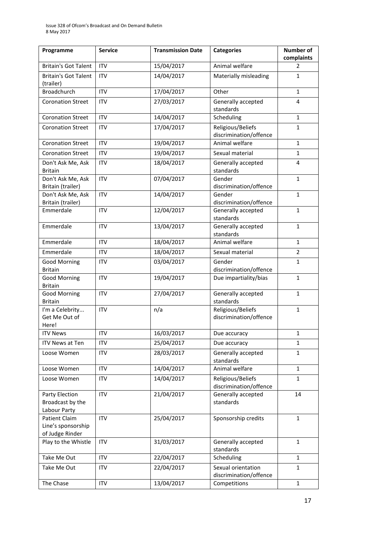| Programme                                                     | <b>Service</b> | <b>Transmission Date</b> | <b>Categories</b>                            | <b>Number of</b><br>complaints |
|---------------------------------------------------------------|----------------|--------------------------|----------------------------------------------|--------------------------------|
| <b>Britain's Got Talent</b>                                   | <b>ITV</b>     | 15/04/2017               | Animal welfare                               | 2                              |
| <b>Britain's Got Talent</b><br>(trailer)                      | <b>ITV</b>     | 14/04/2017               | Materially misleading                        | $\mathbf{1}$                   |
| <b>Broadchurch</b>                                            | <b>ITV</b>     | 17/04/2017               | Other                                        | $\mathbf{1}$                   |
| <b>Coronation Street</b>                                      | <b>ITV</b>     | 27/03/2017               | Generally accepted<br>standards              | 4                              |
| <b>Coronation Street</b>                                      | <b>ITV</b>     | 14/04/2017               | Scheduling                                   | $\mathbf{1}$                   |
| <b>Coronation Street</b>                                      | <b>ITV</b>     | 17/04/2017               | Religious/Beliefs<br>discrimination/offence  | 1                              |
| <b>Coronation Street</b>                                      | <b>ITV</b>     | 19/04/2017               | Animal welfare                               | $\mathbf{1}$                   |
| <b>Coronation Street</b>                                      | <b>ITV</b>     | 19/04/2017               | Sexual material                              | $\mathbf{1}$                   |
| Don't Ask Me, Ask<br><b>Britain</b>                           | <b>ITV</b>     | 18/04/2017               | Generally accepted<br>standards              | 4                              |
| Don't Ask Me, Ask<br>Britain (trailer)                        | <b>ITV</b>     | 07/04/2017               | Gender<br>discrimination/offence             | $\mathbf{1}$                   |
| Don't Ask Me, Ask                                             | <b>ITV</b>     | 14/04/2017               | Gender                                       | $\mathbf{1}$                   |
| Britain (trailer)                                             |                |                          | discrimination/offence                       |                                |
| Emmerdale                                                     | <b>ITV</b>     | 12/04/2017               | Generally accepted<br>standards              | $\mathbf{1}$                   |
| Emmerdale                                                     | <b>ITV</b>     | 13/04/2017               | Generally accepted<br>standards              | $\mathbf{1}$                   |
| Emmerdale                                                     | <b>ITV</b>     | 18/04/2017               | Animal welfare                               | $\mathbf{1}$                   |
| Emmerdale                                                     | <b>ITV</b>     | 18/04/2017               | Sexual material                              | 2                              |
| <b>Good Morning</b><br><b>Britain</b>                         | <b>ITV</b>     | 03/04/2017               | Gender<br>discrimination/offence             | $\mathbf{1}$                   |
| <b>Good Morning</b><br><b>Britain</b>                         | <b>ITV</b>     | 19/04/2017               | Due impartiality/bias                        | $\mathbf{1}$                   |
| <b>Good Morning</b><br><b>Britain</b>                         | <b>ITV</b>     | 27/04/2017               | Generally accepted<br>standards              | $\mathbf{1}$                   |
| I'm a Celebrity<br>Get Me Out of<br>Here!                     | <b>ITV</b>     | n/a                      | Religious/Beliefs<br>discrimination/offence  | $\mathbf{1}$                   |
| <b>ITV News</b>                                               | <b>ITV</b>     | 16/03/2017               | Due accuracy                                 | $\mathbf{1}$                   |
| ITV News at Ten                                               | <b>ITV</b>     | 25/04/2017               | Due accuracy                                 | $\mathbf{1}$                   |
| Loose Women                                                   | <b>ITV</b>     | 28/03/2017               | Generally accepted<br>standards              | 1                              |
| Loose Women                                                   | <b>ITV</b>     | 14/04/2017               | Animal welfare                               | $\mathbf{1}$                   |
| Loose Women                                                   | <b>ITV</b>     | 14/04/2017               | Religious/Beliefs<br>discrimination/offence  | $\mathbf{1}$                   |
| Party Election<br>Broadcast by the<br>Labour Party            | <b>ITV</b>     | 21/04/2017               | Generally accepted<br>standards              | 14                             |
| <b>Patient Claim</b><br>Line's sponsorship<br>of Judge Rinder | <b>ITV</b>     | 25/04/2017               | Sponsorship credits                          | $\mathbf{1}$                   |
| Play to the Whistle                                           | <b>ITV</b>     | 31/03/2017               | Generally accepted<br>standards              | $\mathbf{1}$                   |
| Take Me Out                                                   | <b>ITV</b>     | 22/04/2017               | Scheduling                                   | $\mathbf{1}$                   |
| Take Me Out                                                   | <b>ITV</b>     | 22/04/2017               | Sexual orientation<br>discrimination/offence | $\mathbf{1}$                   |
| The Chase                                                     | ITV            | 13/04/2017               | Competitions                                 | $\mathbf{1}$                   |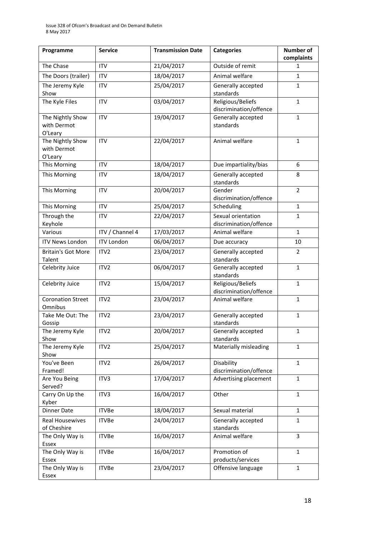| Programme                                  | <b>Service</b>    | <b>Transmission Date</b> | <b>Categories</b>                            | Number of<br>complaints |
|--------------------------------------------|-------------------|--------------------------|----------------------------------------------|-------------------------|
| The Chase                                  | <b>ITV</b>        | 21/04/2017               | Outside of remit                             | 1                       |
| The Doors (trailer)                        | <b>ITV</b>        | 18/04/2017               | Animal welfare                               | $\mathbf{1}$            |
| The Jeremy Kyle<br>Show                    | <b>ITV</b>        | 25/04/2017               | Generally accepted<br>standards              | $\mathbf{1}$            |
| The Kyle Files                             | <b>ITV</b>        | 03/04/2017               | Religious/Beliefs<br>discrimination/offence  | $\mathbf{1}$            |
| The Nightly Show<br>with Dermot<br>O'Leary | <b>ITV</b>        | 19/04/2017               | Generally accepted<br>standards              | $\mathbf{1}$            |
| The Nightly Show<br>with Dermot<br>O'Leary | <b>ITV</b>        | 22/04/2017               | Animal welfare                               | $\mathbf{1}$            |
| This Morning                               | <b>ITV</b>        | 18/04/2017               | Due impartiality/bias                        | 6                       |
| This Morning                               | <b>ITV</b>        | 18/04/2017               | Generally accepted<br>standards              | 8                       |
| This Morning                               | <b>ITV</b>        | 20/04/2017               | Gender<br>discrimination/offence             | $\overline{2}$          |
| This Morning                               | <b>ITV</b>        | 25/04/2017               | Scheduling                                   | $\mathbf{1}$            |
| Through the<br>Keyhole                     | <b>ITV</b>        | 22/04/2017               | Sexual orientation<br>discrimination/offence | $\mathbf{1}$            |
| Various                                    | ITV / Channel 4   | 17/03/2017               | Animal welfare                               | $\mathbf{1}$            |
| <b>ITV News London</b>                     | <b>ITV London</b> | 06/04/2017               | Due accuracy                                 | 10                      |
| <b>Britain's Got More</b><br>Talent        | ITV <sub>2</sub>  | 23/04/2017               | Generally accepted<br>standards              | 2                       |
| Celebrity Juice                            | ITV <sub>2</sub>  | 06/04/2017               | Generally accepted<br>standards              | $\mathbf{1}$            |
| Celebrity Juice                            | ITV2              | 15/04/2017               | Religious/Beliefs<br>discrimination/offence  | $\mathbf{1}$            |
| <b>Coronation Street</b><br>Omnibus        | ITV2              | 23/04/2017               | Animal welfare                               | $\mathbf{1}$            |
| Take Me Out: The<br>Gossip                 | ITV <sub>2</sub>  | 23/04/2017               | Generally accepted<br>standards              | $\mathbf{1}$            |
| The Jeremy Kyle<br>Show                    | ITV2              | 20/04/2017               | Generally accepted<br>standards              | $\mathbf 1$             |
| The Jeremy Kyle<br>Show                    | ITV2              | 25/04/2017               | Materially misleading                        | $\mathbf{1}$            |
| You've Been<br>Framed!                     | ITV <sub>2</sub>  | 26/04/2017               | Disability<br>discrimination/offence         | $\mathbf{1}$            |
| Are You Being<br>Served?                   | ITV3              | 17/04/2017               | Advertising placement                        | $\mathbf{1}$            |
| Carry On Up the<br>Kyber                   | ITV3              | 16/04/2017               | Other                                        | $\mathbf{1}$            |
| <b>Dinner Date</b>                         | <b>ITVBe</b>      | 18/04/2017               | Sexual material                              | $\mathbf{1}$            |
| <b>Real Housewives</b><br>of Cheshire      | <b>ITVBe</b>      | 24/04/2017               | Generally accepted<br>standards              | $\mathbf{1}$            |
| The Only Way is<br>Essex                   | <b>ITVBe</b>      | 16/04/2017               | Animal welfare                               | 3                       |
| The Only Way is<br>Essex                   | <b>ITVBe</b>      | 16/04/2017               | Promotion of<br>products/services            | $\mathbf{1}$            |
| The Only Way is<br>Essex                   | <b>ITVBe</b>      | 23/04/2017               | Offensive language                           | $\mathbf{1}$            |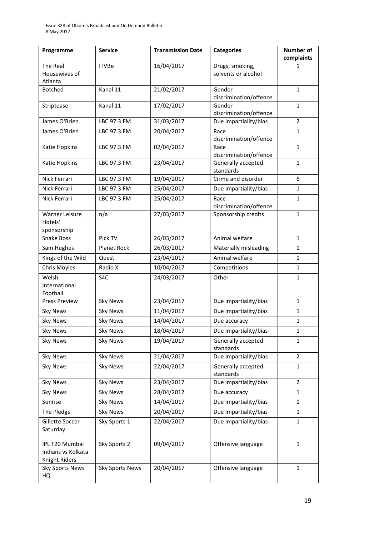| Programme                                             | <b>Service</b>         | <b>Transmission Date</b> | <b>Categories</b>                | <b>Number of</b><br>complaints |
|-------------------------------------------------------|------------------------|--------------------------|----------------------------------|--------------------------------|
| The Real                                              | <b>ITVBe</b>           | 16/04/2017               | Drugs, smoking,                  | 1                              |
| Housewives of                                         |                        |                          | solvents or alcohol              |                                |
| Atlanta                                               |                        |                          |                                  | $\mathbf{1}$                   |
| <b>Botched</b>                                        | Kanal 11               | 21/02/2017               | Gender<br>discrimination/offence |                                |
| Striptease                                            | Kanal 11               | 17/02/2017               | Gender<br>discrimination/offence | $\mathbf{1}$                   |
| James O'Brien                                         | LBC 97.3 FM            | 31/03/2017               | Due impartiality/bias            | $\overline{2}$                 |
| James O'Brien                                         | LBC 97.3 FM            | 20/04/2017               | Race                             | $\mathbf{1}$                   |
|                                                       |                        |                          | discrimination/offence           |                                |
| Katie Hopkins                                         | LBC 97.3 FM            | 02/04/2017               | Race<br>discrimination/offence   | $\mathbf{1}$                   |
| Katie Hopkins                                         | LBC 97.3 FM            | 23/04/2017               | Generally accepted<br>standards  | $\mathbf{1}$                   |
| Nick Ferrari                                          | LBC 97.3 FM            | 19/04/2017               | Crime and disorder               | 6                              |
| Nick Ferrari                                          | LBC 97.3 FM            | 25/04/2017               | Due impartiality/bias            | $\mathbf{1}$                   |
| Nick Ferrari                                          | LBC 97.3 FM            | 25/04/2017               | Race<br>discrimination/offence   | $\mathbf{1}$                   |
| Warner Leisure<br>Hotels'<br>sponsorship              | n/a                    | 27/03/2017               | Sponsorship credits              | $\mathbf{1}$                   |
| Snake Boss                                            | Pick TV                | 26/03/2017               | Animal welfare                   | $\mathbf{1}$                   |
| Sam Hughes                                            | <b>Planet Rock</b>     | 26/03/2017               | Materially misleading            | 1                              |
| Kings of the Wild                                     | Quest                  | 23/04/2017               | Animal welfare                   | $\mathbf{1}$                   |
| Chris Moyles                                          | Radio X                | 10/04/2017               | Competitions                     | 1                              |
| Welsh<br>International<br>Football                    | S <sub>4</sub> C       | 24/03/2017               | Other                            | $\mathbf{1}$                   |
| <b>Press Preview</b>                                  | <b>Sky News</b>        | 23/04/2017               | Due impartiality/bias            | $\mathbf{1}$                   |
| <b>Sky News</b>                                       | <b>Sky News</b>        | 11/04/2017               | Due impartiality/bias            | 1                              |
| <b>Sky News</b>                                       | <b>Sky News</b>        | 14/04/2017               | Due accuracy                     | $\mathbf{1}$                   |
| <b>Sky News</b>                                       | <b>Sky News</b>        | 18/04/2017               | Due impartiality/bias            | $\mathbf 1$                    |
| <b>Sky News</b>                                       | <b>Sky News</b>        | 19/04/2017               | Generally accepted<br>standards  | 1                              |
| <b>Sky News</b>                                       | <b>Sky News</b>        | 21/04/2017               | Due impartiality/bias            | $\overline{2}$                 |
| <b>Sky News</b>                                       | <b>Sky News</b>        | 22/04/2017               | Generally accepted<br>standards  | 1                              |
| <b>Sky News</b>                                       | <b>Sky News</b>        | 23/04/2017               | Due impartiality/bias            | $\overline{2}$                 |
| <b>Sky News</b>                                       | <b>Sky News</b>        | 28/04/2017               | Due accuracy                     | $\mathbf{1}$                   |
| Sunrise                                               | <b>Sky News</b>        | 14/04/2017               | Due impartiality/bias            | 1                              |
| The Pledge                                            | <b>Sky News</b>        | 20/04/2017               | Due impartiality/bias            | $\mathbf{1}$                   |
| Gillette Soccer<br>Saturday                           | Sky Sports 1           | 22/04/2017               | Due impartiality/bias            | 1                              |
| IPL T20 Mumbai<br>Indians vs Kolkata<br>Knight Riders | Sky Sports 2           | 09/04/2017               | Offensive language               | $\mathbf{1}$                   |
| Sky Sports News<br>HQ                                 | <b>Sky Sports News</b> | 20/04/2017               | Offensive language               | $\mathbf{1}$                   |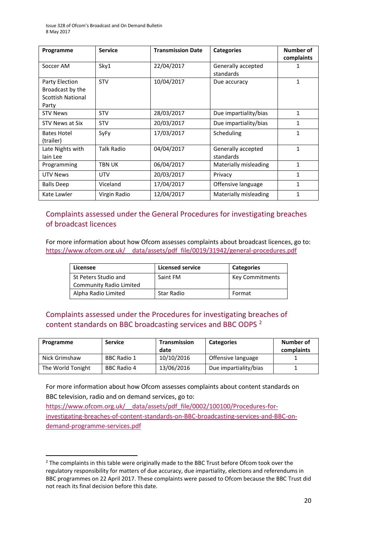| Programme                                                               | <b>Service</b>    | <b>Transmission Date</b> | <b>Categories</b>               | Number of<br>complaints |
|-------------------------------------------------------------------------|-------------------|--------------------------|---------------------------------|-------------------------|
| Soccer AM                                                               | Sky1              | 22/04/2017               | Generally accepted<br>standards | 1                       |
| Party Election<br>Broadcast by the<br><b>Scottish National</b><br>Party | <b>STV</b>        | 10/04/2017               | Due accuracy                    | $\mathbf{1}$            |
| <b>STV News</b>                                                         | <b>STV</b>        | 28/03/2017               | Due impartiality/bias           | $\mathbf{1}$            |
| STV News at Six                                                         | <b>STV</b>        | 20/03/2017               | Due impartiality/bias           | 1                       |
| <b>Bates Hotel</b><br>(trailer)                                         | <b>SyFy</b>       | 17/03/2017               | Scheduling                      | 1                       |
| Late Nights with<br>lain Lee                                            | <b>Talk Radio</b> | 04/04/2017               | Generally accepted<br>standards | $\mathbf{1}$            |
| Programming                                                             | TBN UK            | 06/04/2017               | Materially misleading           | $\mathbf{1}$            |
| <b>UTV News</b>                                                         | UTV               | 20/03/2017               | Privacy                         | $\mathbf{1}$            |
| <b>Balls Deep</b>                                                       | Viceland          | 17/04/2017               | Offensive language              | $\mathbf{1}$            |
| Kate Lawler                                                             | Virgin Radio      | 12/04/2017               | Materially misleading           | $\mathbf{1}$            |

### Complaints assessed under the General Procedures for investigating breaches of broadcast licences

For more information about how Ofcom assesses complaints about broadcast licences, go to: https://www.ofcom.org.uk/ data/assets/pdf file/0019/31942/general-procedures.pdf

| Licensee                | <b>Licensed service</b> | <b>Categories</b>      |
|-------------------------|-------------------------|------------------------|
| St Peters Studio and    | Saint FM                | <b>Key Commitments</b> |
| Community Radio Limited |                         |                        |
| Alpha Radio Limited     | <b>Star Radio</b>       | Format                 |

### Complaints assessed under the [Procedures for investigating breaches of](https://www.ofcom.org.uk/tv-radio-and-on-demand/information-for-industry/guidance/procedures)  [content standards on BBC broadcasting services and BBC ODPS](https://www.ofcom.org.uk/tv-radio-and-on-demand/information-for-industry/guidance/procedures) <sup>2</sup>

| Programme         | <b>Service</b>     | Transmission<br>date | <b>Categories</b>     | Number of<br>complaints |
|-------------------|--------------------|----------------------|-----------------------|-------------------------|
| Nick Grimshaw     | <b>BBC Radio 1</b> | 10/10/2016           | Offensive language    |                         |
| The World Tonight | BBC Radio 4        | 13/06/2016           | Due impartiality/bias |                         |

For more information about how Ofcom assesses complaints about content standards on BBC television, radio and on demand services, go to:

https://www.ofcom.org.uk/ data/assets/pdf\_file/0002/100100/Procedures-for[investigating-breaches-of-content-standards-on-BBC-broadcasting-services-and-BBC-on](https://www.ofcom.org.uk/__data/assets/pdf_file/0002/100100/Procedures-for-investigating-breaches-of-content-standards-on-BBC-broadcasting-services-and-BBC-on-demand-programme-services.pdf)[demand-programme-services.pdf](https://www.ofcom.org.uk/__data/assets/pdf_file/0002/100100/Procedures-for-investigating-breaches-of-content-standards-on-BBC-broadcasting-services-and-BBC-on-demand-programme-services.pdf)

<sup>&</sup>lt;sup>2</sup> The complaints in this table were originally made to the BBC Trust before Ofcom took over the regulatory responsibility for matters of due accuracy, due impartiality, elections and referendums in BBC programmes on 22 April 2017. These complaints were passed to Ofcom because the BBC Trust did not reach its final decision before this date.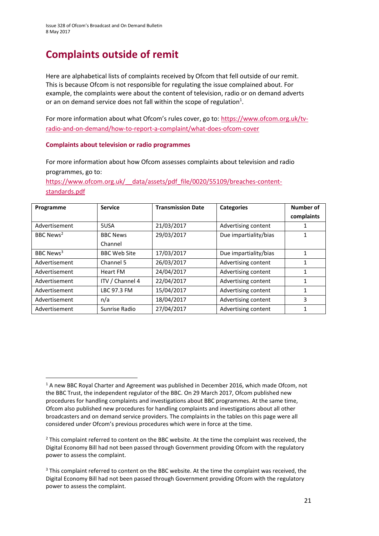# **Complaints outside of remit**

Here are alphabetical lists of complaints received by Ofcom that fell outside of our remit. This is because Ofcom is not responsible for regulating the issue complained about. For example, the complaints were about the content of television, radio or on demand adverts or an on demand service does not fall within the scope of regulation<sup>1</sup>.

For more information about what Ofcom's rules cover, go to: [https://www.ofcom.org.uk/tv](https://www.ofcom.org.uk/tv-radio-and-on-demand/how-to-report-a-complaint/what-does-ofcom-cover)[radio-and-on-demand/how-to-report-a-complaint/what-does-ofcom-cover](https://www.ofcom.org.uk/tv-radio-and-on-demand/how-to-report-a-complaint/what-does-ofcom-cover)

### **Complaints about television or radio programmes**

For more information about how Ofcom assesses complaints about television and radio programmes, go to:

[https://www.ofcom.org.uk/\\_\\_data/assets/pdf\\_file/0020/55109/breaches-content](https://www.ofcom.org.uk/__data/assets/pdf_file/0020/55109/breaches-content-standards.pdf)[standards.pdf](https://www.ofcom.org.uk/__data/assets/pdf_file/0020/55109/breaches-content-standards.pdf)

| Programme             | <b>Service</b>      | <b>Transmission Date</b> | <b>Categories</b>     | Number of  |
|-----------------------|---------------------|--------------------------|-----------------------|------------|
|                       |                     |                          |                       | complaints |
| Advertisement         | 5USA                | 21/03/2017               | Advertising content   |            |
| BBC News <sup>2</sup> | <b>BBC News</b>     | 29/03/2017               | Due impartiality/bias |            |
|                       | Channel             |                          |                       |            |
| BBC News <sup>3</sup> | <b>BBC Web Site</b> | 17/03/2017               | Due impartiality/bias |            |
| Advertisement         | Channel 5           | 26/03/2017               | Advertising content   | 1          |
| Advertisement         | <b>Heart FM</b>     | 24/04/2017               | Advertising content   | 1          |
| Advertisement         | ITV / Channel 4     | 22/04/2017               | Advertising content   |            |
| Advertisement         | LBC 97.3 FM         | 15/04/2017               | Advertising content   | 1          |
| Advertisement         | n/a                 | 18/04/2017               | Advertising content   | 3          |
| Advertisement         | Sunrise Radio       | 27/04/2017               | Advertising content   |            |

 $\overline{\phantom{a}}$ <sup>1</sup> A new BBC Royal Charter and Agreement was published in December 2016, which made Ofcom, not the BBC Trust, the independent regulator of the BBC. On 29 March 2017, Ofcom published new procedures for handling complaints and investigations about BBC programmes. At the same time, Ofcom also published new procedures for handling complaints and investigations about all other broadcasters and on demand service providers. The complaints in the tables on this page were all considered under Ofcom's previous procedures which were in force at the time.

<sup>&</sup>lt;sup>2</sup> This complaint referred to content on the BBC website. At the time the complaint was received, the Digital Economy Bill had not been passed through Government providing Ofcom with the regulatory power to assess the complaint.

<sup>&</sup>lt;sup>3</sup> This complaint referred to content on the BBC website. At the time the complaint was received, the Digital Economy Bill had not been passed through Government providing Ofcom with the regulatory power to assess the complaint.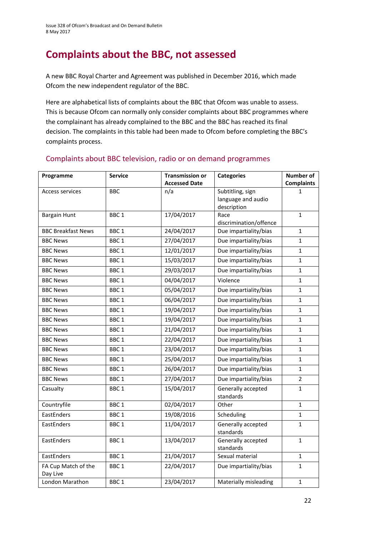## **Complaints about the BBC, not assessed**

A new BBC Royal Charter and Agreement was published in December 2016, which made Ofcom the new independent regulator of the BBC.

Here are alphabetical lists of complaints about the BBC that Ofcom was unable to assess. This is because Ofcom can normally only consider complaints about BBC programmes where the complainant has already complained to the BBC and the BBC has reached its final decision. The complaints in this table had been made to Ofcom before completing the BBC's complaints process.

| Programme                       | <b>Service</b>   | <b>Transmission or</b> | <b>Categories</b>                                     | <b>Number of</b>  |
|---------------------------------|------------------|------------------------|-------------------------------------------------------|-------------------|
|                                 |                  | <b>Accessed Date</b>   |                                                       | <b>Complaints</b> |
| <b>Access services</b>          | <b>BBC</b>       | n/a                    | Subtitling, sign<br>language and audio<br>description | 1                 |
| <b>Bargain Hunt</b>             | BBC <sub>1</sub> | 17/04/2017             | Race<br>discrimination/offence                        | $\mathbf{1}$      |
| <b>BBC Breakfast News</b>       | BBC <sub>1</sub> | 24/04/2017             | Due impartiality/bias                                 | $\mathbf{1}$      |
| <b>BBC News</b>                 | BBC <sub>1</sub> | 27/04/2017             | Due impartiality/bias                                 | $\mathbf{1}$      |
| <b>BBC News</b>                 | BBC <sub>1</sub> | 12/01/2017             | Due impartiality/bias                                 | $\mathbf{1}$      |
| <b>BBC News</b>                 | BBC <sub>1</sub> | 15/03/2017             | Due impartiality/bias                                 | 1                 |
| <b>BBC News</b>                 | BBC <sub>1</sub> | 29/03/2017             | Due impartiality/bias                                 | $\mathbf{1}$      |
| <b>BBC News</b>                 | BBC <sub>1</sub> | 04/04/2017             | Violence                                              | $\mathbf{1}$      |
| <b>BBC News</b>                 | BBC <sub>1</sub> | 05/04/2017             | Due impartiality/bias                                 | $\mathbf{1}$      |
| <b>BBC News</b>                 | BBC <sub>1</sub> | 06/04/2017             | Due impartiality/bias                                 | $\mathbf{1}$      |
| <b>BBC News</b>                 | BBC <sub>1</sub> | 19/04/2017             | Due impartiality/bias                                 | $\mathbf{1}$      |
| <b>BBC News</b>                 | BBC <sub>1</sub> | 19/04/2017             | Due impartiality/bias                                 | $\mathbf{1}$      |
| <b>BBC News</b>                 | BBC <sub>1</sub> | 21/04/2017             | Due impartiality/bias                                 | $\mathbf{1}$      |
| <b>BBC News</b>                 | BBC <sub>1</sub> | 22/04/2017             | Due impartiality/bias                                 | $\mathbf{1}$      |
| <b>BBC News</b>                 | BBC <sub>1</sub> | 23/04/2017             | Due impartiality/bias                                 | $\mathbf{1}$      |
| <b>BBC News</b>                 | BBC <sub>1</sub> | 25/04/2017             | Due impartiality/bias                                 | $\mathbf{1}$      |
| <b>BBC News</b>                 | BBC <sub>1</sub> | 26/04/2017             | Due impartiality/bias                                 | $\mathbf{1}$      |
| <b>BBC News</b>                 | BBC <sub>1</sub> | 27/04/2017             | Due impartiality/bias                                 | $\overline{2}$    |
| Casualty                        | BBC <sub>1</sub> | 15/04/2017             | Generally accepted<br>standards                       | $\mathbf{1}$      |
| Countryfile                     | BBC <sub>1</sub> | 02/04/2017             | Other                                                 | $\mathbf{1}$      |
| EastEnders                      | BBC <sub>1</sub> | 19/08/2016             | Scheduling                                            | $\mathbf{1}$      |
| EastEnders                      | BBC <sub>1</sub> | 11/04/2017             | Generally accepted<br>standards                       | 1                 |
| EastEnders                      | BBC <sub>1</sub> | 13/04/2017             | Generally accepted<br>standards                       | $\mathbf{1}$      |
| EastEnders                      | BBC <sub>1</sub> | 21/04/2017             | Sexual material                                       | $\mathbf{1}$      |
| FA Cup Match of the<br>Day Live | BBC <sub>1</sub> | 22/04/2017             | Due impartiality/bias                                 | $\mathbf{1}$      |
| London Marathon                 | BBC <sub>1</sub> | 23/04/2017             | Materially misleading                                 | $\mathbf{1}$      |

### Complaints about BBC television, radio or on demand programmes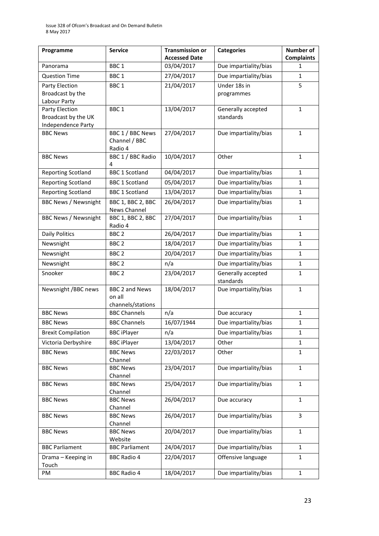| Programme                                                   | <b>Service</b>                                       | <b>Transmission or</b><br><b>Accessed Date</b> | <b>Categories</b>               | <b>Number of</b><br><b>Complaints</b> |
|-------------------------------------------------------------|------------------------------------------------------|------------------------------------------------|---------------------------------|---------------------------------------|
| Panorama                                                    | BBC <sub>1</sub>                                     | 03/04/2017                                     | Due impartiality/bias           | 1                                     |
| <b>Question Time</b>                                        | BBC <sub>1</sub>                                     | 27/04/2017                                     | Due impartiality/bias           | $\mathbf{1}$                          |
| Party Election<br>Broadcast by the<br>Labour Party          | BBC <sub>1</sub>                                     | 21/04/2017                                     | Under 18s in<br>programmes      | 5                                     |
| Party Election<br>Broadcast by the UK<br>Independence Party | BBC <sub>1</sub>                                     | 13/04/2017                                     | Generally accepted<br>standards | $\mathbf{1}$                          |
| <b>BBC News</b>                                             | BBC 1 / BBC News<br>Channel / BBC<br>Radio 4         | 27/04/2017                                     | Due impartiality/bias           | 1                                     |
| <b>BBC News</b>                                             | BBC 1 / BBC Radio<br>4                               | 10/04/2017                                     | Other                           | $\mathbf{1}$                          |
| <b>Reporting Scotland</b>                                   | <b>BBC 1 Scotland</b>                                | 04/04/2017                                     | Due impartiality/bias           | $\mathbf{1}$                          |
| <b>Reporting Scotland</b>                                   | <b>BBC 1 Scotland</b>                                | 05/04/2017                                     | Due impartiality/bias           | $\mathbf{1}$                          |
| <b>Reporting Scotland</b>                                   | <b>BBC 1 Scotland</b>                                | 13/04/2017                                     | Due impartiality/bias           | $\mathbf{1}$                          |
| <b>BBC News / Newsnight</b>                                 | BBC 1, BBC 2, BBC<br>News Channel                    | 26/04/2017                                     | Due impartiality/bias           | $\mathbf{1}$                          |
| <b>BBC News / Newsnight</b>                                 | BBC 1, BBC 2, BBC<br>Radio 4                         | 27/04/2017                                     | Due impartiality/bias           | $\mathbf{1}$                          |
| <b>Daily Politics</b>                                       | BBC <sub>2</sub>                                     | 26/04/2017                                     | Due impartiality/bias           | $\mathbf{1}$                          |
| Newsnight                                                   | BBC <sub>2</sub>                                     | 18/04/2017                                     | Due impartiality/bias           | 1                                     |
| Newsnight                                                   | BBC <sub>2</sub>                                     | 20/04/2017                                     | Due impartiality/bias           | $\mathbf{1}$                          |
| Newsnight                                                   | BBC <sub>2</sub>                                     | n/a                                            | Due impartiality/bias           | $\mathbf{1}$                          |
| Snooker                                                     | BBC <sub>2</sub>                                     | 23/04/2017                                     | Generally accepted<br>standards | $\mathbf{1}$                          |
| Newsnight /BBC news                                         | <b>BBC 2 and News</b><br>on all<br>channels/stations | 18/04/2017                                     | Due impartiality/bias           | $\mathbf{1}$                          |
| <b>BBC News</b>                                             | <b>BBC Channels</b>                                  | n/a                                            | Due accuracy                    | 1                                     |
| <b>BBC News</b>                                             | <b>BBC Channels</b>                                  | 16/07/1944                                     | Due impartiality/bias           | $\mathbf{1}$                          |
| <b>Brexit Compilation</b>                                   | <b>BBC iPlayer</b>                                   | n/a                                            | Due impartiality/bias           | $\mathbf{1}$                          |
| Victoria Derbyshire                                         | <b>BBC iPlayer</b>                                   | 13/04/2017                                     | Other                           | $\mathbf{1}$                          |
| <b>BBC News</b>                                             | <b>BBC News</b><br>Channel                           | 22/03/2017                                     | Other                           | $\mathbf{1}$                          |
| <b>BBC News</b>                                             | <b>BBC News</b><br>Channel                           | 23/04/2017                                     | Due impartiality/bias           | $\mathbf{1}$                          |
| <b>BBC News</b>                                             | <b>BBC News</b><br>Channel                           | 25/04/2017                                     | Due impartiality/bias           | 1                                     |
| <b>BBC News</b>                                             | <b>BBC News</b><br>Channel                           | 26/04/2017                                     | Due accuracy                    | $\mathbf{1}$                          |
| <b>BBC News</b>                                             | <b>BBC News</b><br>Channel                           | 26/04/2017                                     | Due impartiality/bias           | 3                                     |
| <b>BBC News</b>                                             | <b>BBC News</b><br>Website                           | 20/04/2017                                     | Due impartiality/bias           | $\mathbf{1}$                          |
| <b>BBC Parliament</b>                                       | <b>BBC Parliament</b>                                | 24/04/2017                                     | Due impartiality/bias           | $\mathbf{1}$                          |
| Drama - Keeping in<br>Touch                                 | <b>BBC Radio 4</b>                                   | 22/04/2017                                     | Offensive language              | 1                                     |
| PM                                                          | <b>BBC Radio 4</b>                                   | 18/04/2017                                     | Due impartiality/bias           | $\mathbf{1}$                          |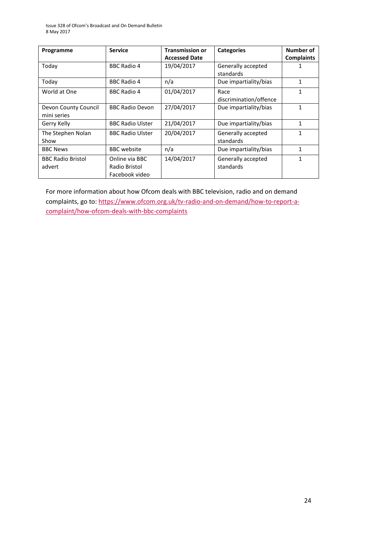| Programme                           | <b>Service</b>                                    | <b>Transmission or</b> | <b>Categories</b>               | Number of         |
|-------------------------------------|---------------------------------------------------|------------------------|---------------------------------|-------------------|
|                                     |                                                   | <b>Accessed Date</b>   |                                 | <b>Complaints</b> |
| Today                               | <b>BBC Radio 4</b>                                | 19/04/2017             | Generally accepted<br>standards |                   |
| Today                               | <b>BBC Radio 4</b>                                | n/a                    | Due impartiality/bias           | $\mathbf{1}$      |
| World at One                        | BBC Radio 4                                       | 01/04/2017             | Race<br>discrimination/offence  | 1                 |
| Devon County Council<br>mini series | <b>BBC Radio Devon</b>                            | 27/04/2017             | Due impartiality/bias           | 1                 |
| Gerry Kelly                         | <b>BBC Radio Ulster</b>                           | 21/04/2017             | Due impartiality/bias           | 1                 |
| The Stephen Nolan<br>Show           | <b>BBC Radio Ulster</b>                           | 20/04/2017             | Generally accepted<br>standards | 1                 |
| <b>BBC News</b>                     | <b>BBC</b> website                                | n/a                    | Due impartiality/bias           | 1                 |
| <b>BBC Radio Bristol</b><br>advert  | Online via BBC<br>Radio Bristol<br>Facebook video | 14/04/2017             | Generally accepted<br>standards | 1                 |

For more information about how Ofcom deals with BBC television, radio and on demand complaints, go to[: https://www.ofcom.org.uk/tv-radio-and-on-demand/how-to-report-a](https://www.ofcom.org.uk/tv-radio-and-on-demand/how-to-report-a-complaint/how-ofcom-deals-with-bbc-complaints)[complaint/how-ofcom-deals-with-bbc-complaints](https://www.ofcom.org.uk/tv-radio-and-on-demand/how-to-report-a-complaint/how-ofcom-deals-with-bbc-complaints)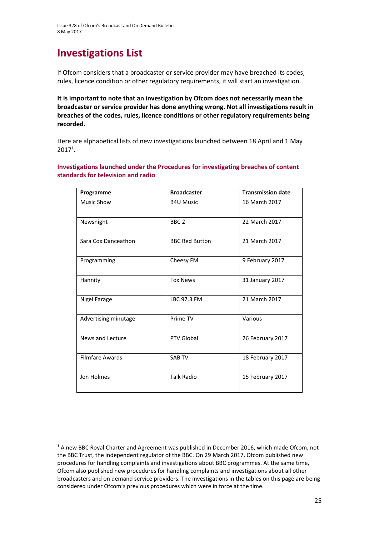# **Investigations List**

**.** 

If Ofcom considers that a broadcaster or service provider may have breached its codes, rules, licence condition or other regulatory requirements, it will start an investigation.

**It is important to note that an investigation by Ofcom does not necessarily mean the broadcaster or service provider has done anything wrong. Not all investigations result in breaches of the codes, rules, licence conditions or other regulatory requirements being recorded.**

Here are alphabetical lists of new investigations launched between 18 April and 1 May 2017<sup>1</sup> .

### **Investigations launched under the Procedures for investigating breaches of content standards for television and radio**

| Programme              | <b>Broadcaster</b>    | <b>Transmission date</b> |
|------------------------|-----------------------|--------------------------|
| <b>Music Show</b>      | <b>B4U Music</b>      | 16 March 2017            |
| Newsnight              | BBC <sub>2</sub>      | 22 March 2017            |
| Sara Cox Danceathon    | <b>BBC Red Button</b> | 21 March 2017            |
| Programming            | Cheesy FM             | 9 February 2017          |
| Hannity                | <b>Fox News</b>       | 31 January 2017          |
| <b>Nigel Farage</b>    | LBC 97.3 FM           | 21 March 2017            |
| Advertising minutage   | Prime TV              | Various                  |
| News and Lecture       | <b>PTV Global</b>     | 26 February 2017         |
| <b>Filmfare Awards</b> | <b>SARTV</b>          | 18 February 2017         |
| Jon Holmes             | <b>Talk Radio</b>     | 15 February 2017         |

<sup>&</sup>lt;sup>1</sup> A new BBC Royal Charter and Agreement was published in December 2016, which made Ofcom, not the BBC Trust, the independent regulator of the BBC. On 29 March 2017, Ofcom published new procedures for handling complaints and investigations about BBC programmes. At the same time, Ofcom also published new procedures for handling complaints and investigations about all other broadcasters and on demand service providers. The investigations in the tables on this page are being considered under Ofcom's previous procedures which were in force at the time.